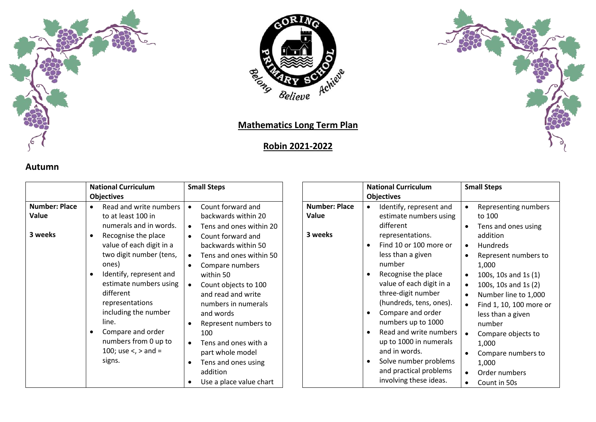



## **Mathematics Long Term Plan**

## **Robin 2021-2022**



|                                          | <b>National Curriculum</b>                                                                                                                                                                                                                                                                                                                                                               | <b>Small Steps</b>                                                                                                                                                                                                                                                                                                                                                                                                    |                                          | <b>National Curriculum</b>                                                                                                                                                                                                                                                                                                                                                                     |
|------------------------------------------|------------------------------------------------------------------------------------------------------------------------------------------------------------------------------------------------------------------------------------------------------------------------------------------------------------------------------------------------------------------------------------------|-----------------------------------------------------------------------------------------------------------------------------------------------------------------------------------------------------------------------------------------------------------------------------------------------------------------------------------------------------------------------------------------------------------------------|------------------------------------------|------------------------------------------------------------------------------------------------------------------------------------------------------------------------------------------------------------------------------------------------------------------------------------------------------------------------------------------------------------------------------------------------|
|                                          | <b>Objectives</b>                                                                                                                                                                                                                                                                                                                                                                        |                                                                                                                                                                                                                                                                                                                                                                                                                       |                                          | <b>Objectives</b>                                                                                                                                                                                                                                                                                                                                                                              |
| <b>Number: Place</b><br>Value<br>3 weeks | Read and write numbers<br>$\bullet$<br>to at least 100 in<br>numerals and in words.<br>Recognise the place<br>$\bullet$<br>value of each digit in a<br>two digit number (tens,<br>ones)<br>Identify, represent and<br>estimate numbers using<br>different<br>representations<br>including the number<br>line.<br>Compare and order<br>numbers from 0 up to<br>100; use $\lt$ , $>$ and = | Count forward and<br>$\bullet$<br>backwards within 20<br>Tens and ones within 20<br>$\bullet$<br>Count forward and<br>$\bullet$<br>backwards within 50<br>Tens and ones within 50<br>$\bullet$<br>Compare numbers<br>within 50<br>Count objects to 100<br>$\bullet$<br>and read and write<br>numbers in numerals<br>and words<br>Represent numbers to<br>100<br>Tens and ones with a<br>$\bullet$<br>part whole model | <b>Number: Place</b><br>Value<br>3 weeks | Identify, represent and<br>estimate numbers usi<br>different<br>representations.<br>Find 10 or 100 more o<br>$\bullet$<br>less than a given<br>number<br>Recognise the place<br>$\bullet$<br>value of each digit in a<br>three-digit number<br>(hundreds, tens, ones)<br>Compare and order<br>$\bullet$<br>numbers up to 1000<br>Read and write numb<br>up to 1000 in numeral<br>and in words. |
|                                          | signs.                                                                                                                                                                                                                                                                                                                                                                                   | Tens and ones using<br>addition                                                                                                                                                                                                                                                                                                                                                                                       |                                          | Solve number problen<br>$\bullet$<br>and practical problem                                                                                                                                                                                                                                                                                                                                     |
|                                          |                                                                                                                                                                                                                                                                                                                                                                                          | Use a place value chart                                                                                                                                                                                                                                                                                                                                                                                               |                                          | involving these ideas.                                                                                                                                                                                                                                                                                                                                                                         |

|                   | <b>National Curriculum</b>                                                                       | <b>Small Steps</b>                                                   |
|-------------------|--------------------------------------------------------------------------------------------------|----------------------------------------------------------------------|
|                   | <b>Objectives</b>                                                                                |                                                                      |
| mber: Place<br>ue | Identify, represent and<br>estimate numbers using<br>different                                   | Representing numbers<br>to 100<br>Tens and ones using                |
| eeks              | representations.<br>Find 10 or 100 more or                                                       | addition<br><b>Hundreds</b>                                          |
|                   | less than a given<br>number                                                                      | Represent numbers to<br>1,000                                        |
|                   | Recognise the place<br>value of each digit in a<br>three-digit number<br>(hundreds, tens, ones). | 100s, 10s and 1s (1)<br>100s, 10s and 1s (2)<br>Number line to 1,000 |
|                   | Compare and order<br>numbers up to 1000                                                          | Find 1, 10, 100 more or<br>less than a given<br>number               |
|                   | Read and write numbers<br>up to 1000 in numerals                                                 | Compare objects to<br>1,000                                          |
|                   | and in words.<br>Solve number problems<br>and practical problems                                 | Compare numbers to<br>1,000<br>Order numbers                         |

Count in 50s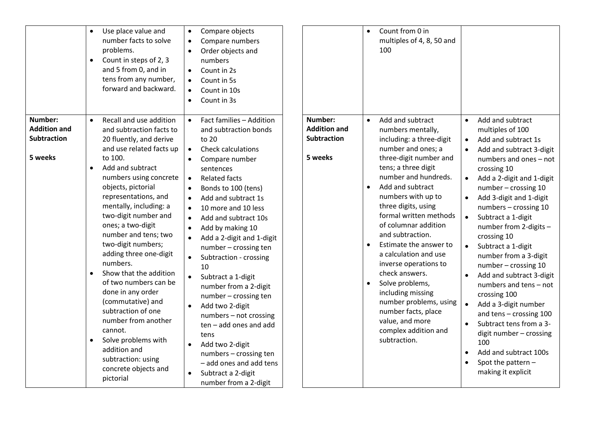|                                                                 | Use place value and<br>$\bullet$<br>number facts to solve<br>problems.<br>Count in steps of 2, 3<br>$\bullet$<br>and 5 from 0, and in<br>tens from any number,<br>forward and backward.                                                                                                                                                                                                                                                                                                                                                                                                                                                                                                 | Compare objects<br>$\bullet$<br>Compare numbers<br>$\bullet$<br>Order objects and<br>numbers<br>Count in 2s<br>Count in 5s<br>$\bullet$<br>Count in 10s<br>$\bullet$<br>Count in 3s<br>$\bullet$                                                                                                                                                                                                                                                                                                                                                                                                                                                                                                                                            |                                                                 | Count from 0 in<br>$\bullet$<br>multiples of 4, 8, 50 and<br>100                                                                                                                                                                                                                                                                                                                                                                                                                                                                                                                                              |                                                                                                                                                                                                                                                                                                                                                                                                                                                                                                                                                                                                                                                                                                                                                                                                        |
|-----------------------------------------------------------------|-----------------------------------------------------------------------------------------------------------------------------------------------------------------------------------------------------------------------------------------------------------------------------------------------------------------------------------------------------------------------------------------------------------------------------------------------------------------------------------------------------------------------------------------------------------------------------------------------------------------------------------------------------------------------------------------|---------------------------------------------------------------------------------------------------------------------------------------------------------------------------------------------------------------------------------------------------------------------------------------------------------------------------------------------------------------------------------------------------------------------------------------------------------------------------------------------------------------------------------------------------------------------------------------------------------------------------------------------------------------------------------------------------------------------------------------------|-----------------------------------------------------------------|---------------------------------------------------------------------------------------------------------------------------------------------------------------------------------------------------------------------------------------------------------------------------------------------------------------------------------------------------------------------------------------------------------------------------------------------------------------------------------------------------------------------------------------------------------------------------------------------------------------|--------------------------------------------------------------------------------------------------------------------------------------------------------------------------------------------------------------------------------------------------------------------------------------------------------------------------------------------------------------------------------------------------------------------------------------------------------------------------------------------------------------------------------------------------------------------------------------------------------------------------------------------------------------------------------------------------------------------------------------------------------------------------------------------------------|
| Number:<br><b>Addition and</b><br><b>Subtraction</b><br>5 weeks | Recall and use addition<br>$\bullet$<br>and subtraction facts to<br>20 fluently, and derive<br>and use related facts up<br>to 100.<br>Add and subtract<br>$\bullet$<br>numbers using concrete<br>objects, pictorial<br>representations, and<br>mentally, including: a<br>two-digit number and<br>ones; a two-digit<br>number and tens; two<br>two-digit numbers;<br>adding three one-digit<br>numbers.<br>Show that the addition<br>$\bullet$<br>of two numbers can be<br>done in any order<br>(commutative) and<br>subtraction of one<br>number from another<br>cannot.<br>Solve problems with<br>$\bullet$<br>addition and<br>subtraction: using<br>concrete objects and<br>pictorial | Fact families - Addition<br>and subtraction bonds<br>to 20<br><b>Check calculations</b><br>$\bullet$<br>Compare number<br>$\bullet$<br>sentences<br><b>Related facts</b><br>$\bullet$<br>Bonds to 100 (tens)<br>Add and subtract 1s<br>$\bullet$<br>10 more and 10 less<br>$\bullet$<br>Add and subtract 10s<br>$\bullet$<br>Add by making 10<br>$\bullet$<br>Add a 2-digit and 1-digit<br>number - crossing ten<br>Subtraction - crossing<br>10<br>Subtract a 1-digit<br>number from a 2-digit<br>number - crossing ten<br>Add two 2-digit<br>numbers - not crossing<br>ten - add ones and add<br>tens<br>Add two 2-digit<br>$\bullet$<br>numbers - crossing ten<br>- add ones and add tens<br>Subtract a 2-digit<br>number from a 2-digit | Number:<br><b>Addition and</b><br><b>Subtraction</b><br>5 weeks | Add and subtract<br>$\bullet$<br>numbers mentally,<br>including: a three-digit<br>number and ones; a<br>three-digit number and<br>tens; a three digit<br>number and hundreds.<br>Add and subtract<br>$\bullet$<br>numbers with up to<br>three digits, using<br>formal written methods<br>of columnar addition<br>and subtraction.<br>Estimate the answer to<br>$\bullet$<br>a calculation and use<br>inverse operations to<br>check answers.<br>Solve problems,<br>$\bullet$<br>including missing<br>number problems, using<br>number facts, place<br>value, and more<br>complex addition and<br>subtraction. | Add and subtract<br>$\bullet$<br>multiples of 100<br>Add and subtract 1s<br>$\bullet$<br>Add and subtract 3-digit<br>$\bullet$<br>numbers and ones - not<br>crossing 10<br>Add a 2-digit and 1-digit<br>$\bullet$<br>number - crossing 10<br>Add 3-digit and 1-digit<br>$\bullet$<br>numbers - crossing 10<br>$\bullet$<br>Subtract a 1-digit<br>number from 2-digits -<br>crossing 10<br>Subtract a 1-digit<br>$\bullet$<br>number from a 3-digit<br>number - crossing 10<br>Add and subtract 3-digit<br>$\bullet$<br>numbers and tens - not<br>crossing 100<br>Add a 3-digit number<br>$\bullet$<br>and tens - crossing 100<br>Subtract tens from a 3-<br>$\bullet$<br>digit number - crossing<br>100<br>Add and subtract 100s<br>$\bullet$<br>Spot the pattern -<br>$\bullet$<br>making it explicit |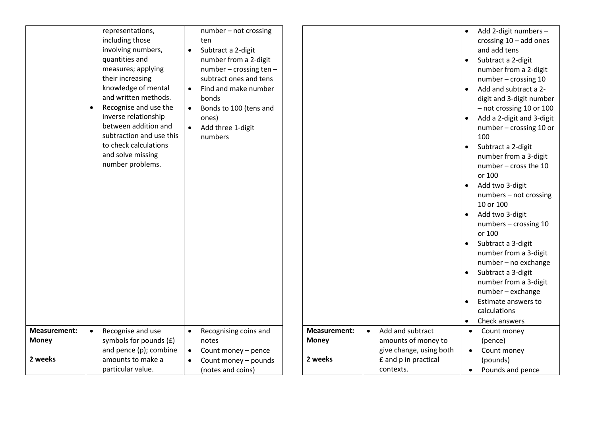|                     | representations,               | number - not crossing               |                     |                               | Add 2-digit numbers -           |
|---------------------|--------------------------------|-------------------------------------|---------------------|-------------------------------|---------------------------------|
|                     | including those                | ten                                 |                     |                               | crossing $10 - add$ ones        |
|                     | involving numbers,             | Subtract a 2-digit<br>$\bullet$     |                     |                               | and add tens                    |
|                     | quantities and                 | number from a 2-digit               |                     |                               | Subtract a 2-digit              |
|                     | measures; applying             | number - crossing ten -             |                     |                               | number from a 2-digit           |
|                     | their increasing               | subtract ones and tens              |                     |                               | number - crossing 10            |
|                     | knowledge of mental            | Find and make number<br>$\bullet$   |                     |                               | Add and subtract a 2-           |
|                     | and written methods.           | bonds                               |                     |                               | digit and 3-digit number        |
|                     | Recognise and use the          | Bonds to 100 (tens and<br>$\bullet$ |                     |                               | - not crossing 10 or 100        |
|                     | inverse relationship           | ones)                               |                     |                               | Add a 2-digit and 3-digit       |
|                     | between addition and           | Add three 1-digit                   |                     |                               | number - crossing 10 or         |
|                     | subtraction and use this       | numbers                             |                     |                               | 100                             |
|                     | to check calculations          |                                     |                     |                               | Subtract a 2-digit<br>$\bullet$ |
|                     | and solve missing              |                                     |                     |                               | number from a 3-digit           |
|                     | number problems.               |                                     |                     |                               | number - cross the 10           |
|                     |                                |                                     |                     |                               | or 100                          |
|                     |                                |                                     |                     |                               |                                 |
|                     |                                |                                     |                     |                               | Add two 3-digit<br>$\bullet$    |
|                     |                                |                                     |                     |                               | numbers - not crossing          |
|                     |                                |                                     |                     |                               | 10 or 100                       |
|                     |                                |                                     |                     |                               | Add two 3-digit                 |
|                     |                                |                                     |                     |                               | numbers - crossing 10           |
|                     |                                |                                     |                     |                               | or 100                          |
|                     |                                |                                     |                     |                               | Subtract a 3-digit              |
|                     |                                |                                     |                     |                               | number from a 3-digit           |
|                     |                                |                                     |                     |                               | number - no exchange            |
|                     |                                |                                     |                     |                               | Subtract a 3-digit              |
|                     |                                |                                     |                     |                               | number from a 3-digit           |
|                     |                                |                                     |                     |                               | number - exchange               |
|                     |                                |                                     |                     |                               | Estimate answers to             |
|                     |                                |                                     |                     |                               | calculations                    |
|                     |                                |                                     |                     |                               | Check answers<br>$\bullet$      |
| <b>Measurement:</b> | Recognise and use<br>$\bullet$ | Recognising coins and<br>$\bullet$  | <b>Measurement:</b> | Add and subtract<br>$\bullet$ | Count money<br>$\bullet$        |
| <b>Money</b>        | symbols for pounds (£)         | notes                               | <b>Money</b>        | amounts of money to           | (pence)                         |
|                     | and pence (p); combine         | Count money - pence<br>$\bullet$    |                     | give change, using both       | Count money<br>$\bullet$        |
| 2 weeks             | amounts to make a              | Count money - pounds                | 2 weeks             | £ and p in practical          | (pounds)                        |
|                     | particular value.              | (notes and coins)                   |                     | contexts.                     | Pounds and pence<br>$\bullet$   |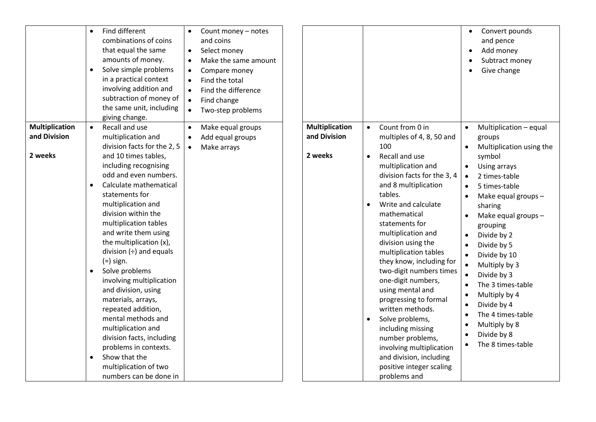| Find different<br>$\bullet$<br>combinations of coins<br>that equal the same<br>amounts of money.<br>Solve simple problems<br>$\bullet$<br>in a practical context<br>involving addition and<br>subtraction of money of<br>the same unit, including<br>giving change.                                                                                                                                                                                                                                                                                                                                                                                                                                                                                              | Count money - notes<br>and coins<br>Select money<br>$\bullet$<br>Make the same amount<br>$\bullet$<br>Compare money<br>$\bullet$<br>Find the total<br>$\bullet$<br>Find the difference<br>Find change<br>$\bullet$<br>Two-step problems |                                                  |                                                                                                                                                                                                                                                                                                                                                                                                                                                                                                                                                                                                                                                              | Convert pounds<br>and pence<br>Add money<br>Subtract money<br>Give change                                                                                                                                                                                                                                                                                                                                                                                                                |
|------------------------------------------------------------------------------------------------------------------------------------------------------------------------------------------------------------------------------------------------------------------------------------------------------------------------------------------------------------------------------------------------------------------------------------------------------------------------------------------------------------------------------------------------------------------------------------------------------------------------------------------------------------------------------------------------------------------------------------------------------------------|-----------------------------------------------------------------------------------------------------------------------------------------------------------------------------------------------------------------------------------------|--------------------------------------------------|--------------------------------------------------------------------------------------------------------------------------------------------------------------------------------------------------------------------------------------------------------------------------------------------------------------------------------------------------------------------------------------------------------------------------------------------------------------------------------------------------------------------------------------------------------------------------------------------------------------------------------------------------------------|------------------------------------------------------------------------------------------------------------------------------------------------------------------------------------------------------------------------------------------------------------------------------------------------------------------------------------------------------------------------------------------------------------------------------------------------------------------------------------------|
| <b>Multiplication</b><br>Recall and use<br>$\bullet$<br>and Division<br>multiplication and<br>division facts for the 2, 5<br>2 weeks<br>and 10 times tables,<br>including recognising<br>odd and even numbers.<br>Calculate mathematical<br>$\bullet$<br>statements for<br>multiplication and<br>division within the<br>multiplication tables<br>and write them using<br>the multiplication (x),<br>division $(\div)$ and equals<br>$(=)$ sign.<br>Solve problems<br>$\bullet$<br>involving multiplication<br>and division, using<br>materials, arrays,<br>repeated addition,<br>mental methods and<br>multiplication and<br>division facts, including<br>problems in contexts.<br>Show that the<br>$\bullet$<br>multiplication of two<br>numbers can be done in | Make equal groups<br>Add equal groups<br>$\bullet$<br>Make arrays<br>$\bullet$                                                                                                                                                          | <b>Multiplication</b><br>and Division<br>2 weeks | Count from 0 in<br>$\bullet$<br>multiples of 4, 8, 50 and<br>100<br>Recall and use<br>$\bullet$<br>multiplication and<br>division facts for the 3, 4<br>and 8 multiplication<br>tables.<br>Write and calculate<br>$\bullet$<br>mathematical<br>statements for<br>multiplication and<br>division using the<br>multiplication tables<br>they know, including for<br>two-digit numbers times<br>one-digit numbers,<br>using mental and<br>progressing to formal<br>written methods.<br>Solve problems,<br>$\bullet$<br>including missing<br>number problems,<br>involving multiplication<br>and division, including<br>positive integer scaling<br>problems and | Multiplication - equal<br>$\bullet$<br>groups<br>Multiplication using the<br>$\bullet$<br>symbol<br>Using arrays<br>2 times-table<br>$\bullet$<br>5 times-table<br>$\bullet$<br>Make equal groups -<br>sharing<br>Make equal groups -<br>grouping<br>Divide by 2<br>Divide by 5<br>Divide by 10<br>$\bullet$<br>Multiply by 3<br>Divide by 3<br>The 3 times-table<br>Multiply by 4<br>Divide by 4<br>$\bullet$<br>The 4 times-table<br>Multiply by 8<br>Divide by 8<br>The 8 times-table |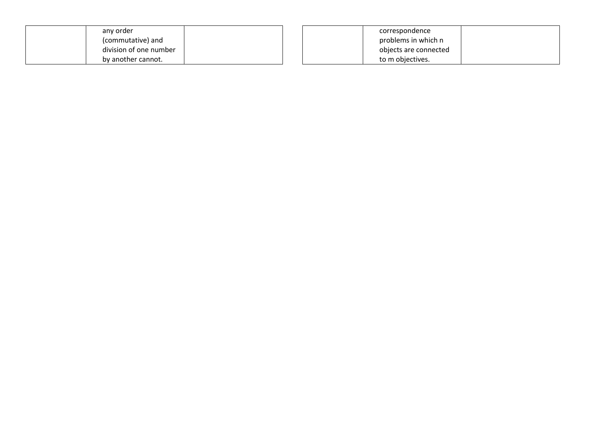| any order              | correspondence        |  |
|------------------------|-----------------------|--|
| (commutative) and      | problems in which n   |  |
| division of one number | objects are connected |  |
| by another cannot.     | to m objectives.      |  |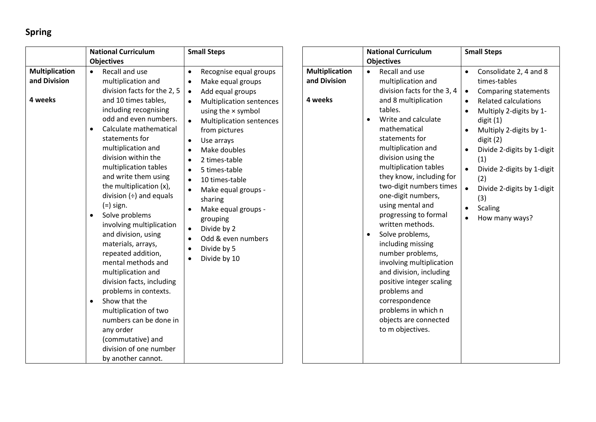## **Spring**

|                                                  | <b>National Curriculum</b>                                                                                                                                                                                                                                                                                                                                                                                                                                                                                                                                                                                                                                                                                                                                                                     | <b>Small Steps</b>                                                                                                                                                                                                                                                                                                                                                                                                                                                                                                                                                                                                |                                                  | <b>National Curriculum</b>                                                                                                                                                                                                                                                                                                                                                                                                                                                                                                                                                                        |
|--------------------------------------------------|------------------------------------------------------------------------------------------------------------------------------------------------------------------------------------------------------------------------------------------------------------------------------------------------------------------------------------------------------------------------------------------------------------------------------------------------------------------------------------------------------------------------------------------------------------------------------------------------------------------------------------------------------------------------------------------------------------------------------------------------------------------------------------------------|-------------------------------------------------------------------------------------------------------------------------------------------------------------------------------------------------------------------------------------------------------------------------------------------------------------------------------------------------------------------------------------------------------------------------------------------------------------------------------------------------------------------------------------------------------------------------------------------------------------------|--------------------------------------------------|---------------------------------------------------------------------------------------------------------------------------------------------------------------------------------------------------------------------------------------------------------------------------------------------------------------------------------------------------------------------------------------------------------------------------------------------------------------------------------------------------------------------------------------------------------------------------------------------------|
|                                                  | <b>Objectives</b>                                                                                                                                                                                                                                                                                                                                                                                                                                                                                                                                                                                                                                                                                                                                                                              |                                                                                                                                                                                                                                                                                                                                                                                                                                                                                                                                                                                                                   |                                                  | <b>Objectives</b>                                                                                                                                                                                                                                                                                                                                                                                                                                                                                                                                                                                 |
| <b>Multiplication</b><br>and Division<br>4 weeks | Recall and use<br>$\bullet$<br>multiplication and<br>division facts for the 2, 5<br>and 10 times tables,<br>including recognising<br>odd and even numbers.<br>Calculate mathematical<br>$\bullet$<br>statements for<br>multiplication and<br>division within the<br>multiplication tables<br>and write them using<br>the multiplication (x),<br>division $(\div)$ and equals<br>$(=)$ sign.<br>Solve problems<br>$\bullet$<br>involving multiplication<br>and division, using<br>materials, arrays,<br>repeated addition,<br>mental methods and<br>multiplication and<br>division facts, including<br>problems in contexts.<br>Show that the<br>$\bullet$<br>multiplication of two<br>numbers can be done in<br>any order<br>(commutative) and<br>division of one number<br>by another cannot. | Recognise equal groups<br>$\bullet$<br>Make equal groups<br>$\bullet$<br>Add equal groups<br>$\bullet$<br><b>Multiplication sentences</b><br>$\bullet$<br>using the $\times$ symbol<br><b>Multiplication sentences</b><br>$\bullet$<br>from pictures<br>Use arrays<br>$\bullet$<br>Make doubles<br>$\bullet$<br>2 times-table<br>$\bullet$<br>5 times-table<br>$\bullet$<br>10 times-table<br>$\bullet$<br>Make equal groups -<br>$\bullet$<br>sharing<br>Make equal groups -<br>$\bullet$<br>grouping<br>Divide by 2<br>$\bullet$<br>Odd & even numbers<br>$\bullet$<br>Divide by 5<br>$\bullet$<br>Divide by 10 | <b>Multiplication</b><br>and Division<br>4 weeks | Recall and use<br>$\bullet$<br>multiplication an<br>division facts for<br>and 8 multiplicati<br>tables.<br>Write and calcula<br>$\bullet$<br>mathematical<br>statements for<br>multiplication an<br>division using the<br>multiplication tak<br>they know, includ<br>two-digit number<br>one-digit number<br>using mental and<br>progressing to fo<br>written methods<br>Solve problems,<br>including missing<br>number problem<br>involving multipli<br>and division, inclu<br>positive integer s<br>problems and<br>correspondence<br>problems in whic<br>objects are conne<br>to m objectives. |

|                                                  | <b>National Curriculum</b>                                                                                                                                                                                                                                                                                                                                                                                                                                                                                                                                                                                                                           | <b>Small Steps</b>                                                                                                                                                                                                                                                                                                                                                                                  |  |
|--------------------------------------------------|------------------------------------------------------------------------------------------------------------------------------------------------------------------------------------------------------------------------------------------------------------------------------------------------------------------------------------------------------------------------------------------------------------------------------------------------------------------------------------------------------------------------------------------------------------------------------------------------------------------------------------------------------|-----------------------------------------------------------------------------------------------------------------------------------------------------------------------------------------------------------------------------------------------------------------------------------------------------------------------------------------------------------------------------------------------------|--|
|                                                  | <b>Objectives</b>                                                                                                                                                                                                                                                                                                                                                                                                                                                                                                                                                                                                                                    |                                                                                                                                                                                                                                                                                                                                                                                                     |  |
| <b>Multiplication</b><br>and Division<br>I weeks | Recall and use<br>$\bullet$<br>multiplication and<br>division facts for the 3, 4<br>and 8 multiplication<br>tables.<br>Write and calculate<br>mathematical<br>statements for<br>multiplication and<br>division using the<br>multiplication tables<br>they know, including for<br>two-digit numbers times<br>one-digit numbers,<br>using mental and<br>progressing to formal<br>written methods.<br>Solve problems,<br>including missing<br>number problems,<br>involving multiplication<br>and division, including<br>positive integer scaling<br>problems and<br>correspondence<br>problems in which n<br>objects are connected<br>to m objectives. | Consolidate 2, 4 and 8<br>$\bullet$<br>times-tables<br><b>Comparing statements</b><br><b>Related calculations</b><br>٠<br>Multiply 2-digits by 1-<br>$\bullet$<br>digit(1)<br>Multiply 2-digits by 1-<br>digit(2)<br>Divide 2-digits by 1-digit<br>(1)<br>Divide 2-digits by 1-digit<br>$\bullet$<br>(2)<br>Divide 2-digits by 1-digit<br>$\bullet$<br>(3)<br><b>Scaling</b><br>٠<br>How many ways? |  |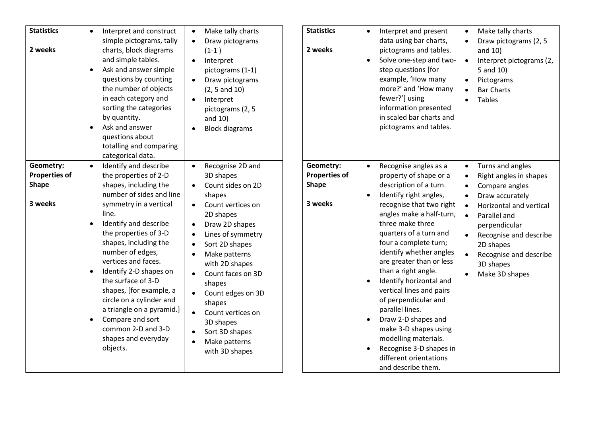| <b>Statistics</b><br>2 weeks<br>Geometry:       | Interpret and construct<br>$\bullet$<br>simple pictograms, tally<br>charts, block diagrams<br>and simple tables.<br>Ask and answer simple<br>$\bullet$<br>questions by counting<br>the number of objects<br>in each category and<br>sorting the categories<br>by quantity.<br>Ask and answer<br>$\bullet$<br>questions about<br>totalling and comparing<br>categorical data.<br>Identify and describe<br>$\bullet$                                                                          | Make tally charts<br>$\bullet$<br>Draw pictograms<br>$\bullet$<br>$(1-1)$<br>Interpret<br>pictograms (1-1)<br>Draw pictograms<br>(2, 5 and 10)<br>Interpret<br>pictograms (2, 5<br>and 10)<br><b>Block diagrams</b><br>Recognise 2D and<br>$\bullet$                                                                                                                                                                   | <b>Statistics</b><br>2 weeks<br>Geometry:       | Interpret and present<br>$\bullet$<br>data using bar charts,<br>pictograms and tables.<br>Solve one-step and two-<br>$\bullet$<br>step questions [for<br>example, 'How many<br>more?' and 'How many<br>fewer?'] using<br>information presented<br>in scaled bar charts and<br>pictograms and tables.<br>Recognise angles as a<br>$\bullet$                                                                                                                                                                                                                    | Make tally charts<br>Draw pictograms (2, 5<br>and $10$ )<br>Interpret pictograms (2,<br>$\bullet$<br>5 and 10)<br>Pictograms<br><b>Bar Charts</b><br><b>Tables</b><br>Turns and angles                                                                         |
|-------------------------------------------------|---------------------------------------------------------------------------------------------------------------------------------------------------------------------------------------------------------------------------------------------------------------------------------------------------------------------------------------------------------------------------------------------------------------------------------------------------------------------------------------------|------------------------------------------------------------------------------------------------------------------------------------------------------------------------------------------------------------------------------------------------------------------------------------------------------------------------------------------------------------------------------------------------------------------------|-------------------------------------------------|---------------------------------------------------------------------------------------------------------------------------------------------------------------------------------------------------------------------------------------------------------------------------------------------------------------------------------------------------------------------------------------------------------------------------------------------------------------------------------------------------------------------------------------------------------------|----------------------------------------------------------------------------------------------------------------------------------------------------------------------------------------------------------------------------------------------------------------|
| <b>Properties of</b><br><b>Shape</b><br>3 weeks | the properties of 2-D<br>shapes, including the<br>number of sides and line<br>symmetry in a vertical<br>line.<br>Identify and describe<br>$\bullet$<br>the properties of 3-D<br>shapes, including the<br>number of edges,<br>vertices and faces.<br>Identify 2-D shapes on<br>$\bullet$<br>the surface of 3-D<br>shapes, [for example, a<br>circle on a cylinder and<br>a triangle on a pyramid.]<br>Compare and sort<br>$\bullet$<br>common 2-D and 3-D<br>shapes and everyday<br>objects. | 3D shapes<br>Count sides on 2D<br>shapes<br>Count vertices on<br>2D shapes<br>Draw 2D shapes<br>$\bullet$<br>Lines of symmetry<br>$\bullet$<br>Sort 2D shapes<br>Make patterns<br>$\bullet$<br>with 2D shapes<br>Count faces on 3D<br>$\bullet$<br>shapes<br>Count edges on 3D<br>shapes<br>Count vertices on<br>$\bullet$<br>3D shapes<br>Sort 3D shapes<br>$\bullet$<br>Make patterns<br>$\bullet$<br>with 3D shapes | <b>Properties of</b><br><b>Shape</b><br>3 weeks | property of shape or a<br>description of a turn.<br>Identify right angles,<br>$\bullet$<br>recognise that two right<br>angles make a half-turn,<br>three make three<br>quarters of a turn and<br>four a complete turn;<br>identify whether angles<br>are greater than or less<br>than a right angle.<br>Identify horizontal and<br>vertical lines and pairs<br>of perpendicular and<br>parallel lines.<br>Draw 2-D shapes and<br>$\bullet$<br>make 3-D shapes using<br>modelling materials.<br>Recognise 3-D shapes in<br>$\bullet$<br>different orientations | Right angles in shapes<br>Compare angles<br>$\bullet$<br>Draw accurately<br>Horizontal and vertical<br>$\bullet$<br>Parallel and<br>$\bullet$<br>perpendicular<br>Recognise and describe<br>2D shapes<br>Recognise and describe<br>3D shapes<br>Make 3D shapes |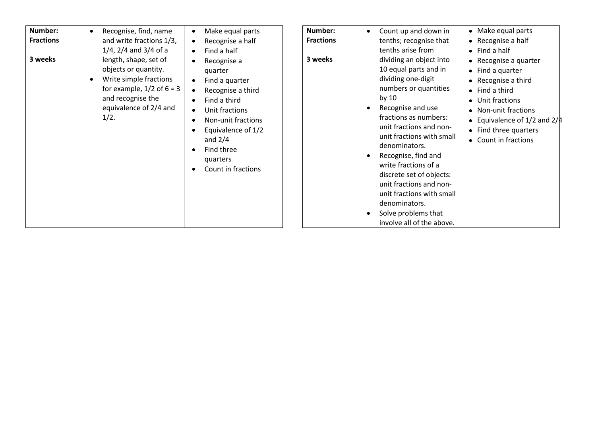| Number:<br><b>Fractions</b><br>3 weeks | Recognise, find, name<br>$\bullet$<br>and write fractions 1/3,<br>$1/4$ , $2/4$ and $3/4$ of a<br>length, shape, set of<br>objects or quantity.<br>Write simple fractions<br>for example, $1/2$ of $6 = 3$<br>and recognise the<br>equivalence of 2/4 and<br>1/2. | Make equal parts<br>Recognise a half<br>$\bullet$<br>Find a half<br>Recognise a<br>quarter<br>Find a quarter<br>$\bullet$<br>Recognise a third<br>Find a third<br>Unit fractions<br>$\bullet$<br>Non-unit fractions<br>Equivalence of 1/2<br>and $2/4$<br>Find three<br>quarters<br>Count in fractions | <b>Number:</b><br><b>Fractions</b><br>3 weeks | Count up and down in<br>$\bullet$<br>tenths; recognise that<br>tenths arise from<br>dividing an object into<br>10 equal parts and in<br>dividing one-digit<br>numbers or quantities<br>by 10<br>Recognise and use<br>$\bullet$<br>fractions as numbers:<br>unit fractions and non-<br>unit fractions with small<br>denominators.<br>Recognise, find and<br>write fractions of a<br>discrete set of objects:<br>unit fractions and non-<br>unit fractions with small<br>denominators.<br>Solve problems that<br>involve all of the above. | • Make equal parts<br>$\bullet$ Recognise a half<br>$\bullet$ Find a half<br>• Recognise a quarter<br>• Find a quarter<br>$\bullet$ Recognise a third<br>$\bullet$ Find a third<br>• Unit fractions<br>• Non-unit fractions<br>• Equivalence of $1/2$ and $2/4$<br>• Find three quarters<br>• Count in fractions |
|----------------------------------------|-------------------------------------------------------------------------------------------------------------------------------------------------------------------------------------------------------------------------------------------------------------------|--------------------------------------------------------------------------------------------------------------------------------------------------------------------------------------------------------------------------------------------------------------------------------------------------------|-----------------------------------------------|------------------------------------------------------------------------------------------------------------------------------------------------------------------------------------------------------------------------------------------------------------------------------------------------------------------------------------------------------------------------------------------------------------------------------------------------------------------------------------------------------------------------------------------|------------------------------------------------------------------------------------------------------------------------------------------------------------------------------------------------------------------------------------------------------------------------------------------------------------------|
|----------------------------------------|-------------------------------------------------------------------------------------------------------------------------------------------------------------------------------------------------------------------------------------------------------------------|--------------------------------------------------------------------------------------------------------------------------------------------------------------------------------------------------------------------------------------------------------------------------------------------------------|-----------------------------------------------|------------------------------------------------------------------------------------------------------------------------------------------------------------------------------------------------------------------------------------------------------------------------------------------------------------------------------------------------------------------------------------------------------------------------------------------------------------------------------------------------------------------------------------------|------------------------------------------------------------------------------------------------------------------------------------------------------------------------------------------------------------------------------------------------------------------------------------------------------------------|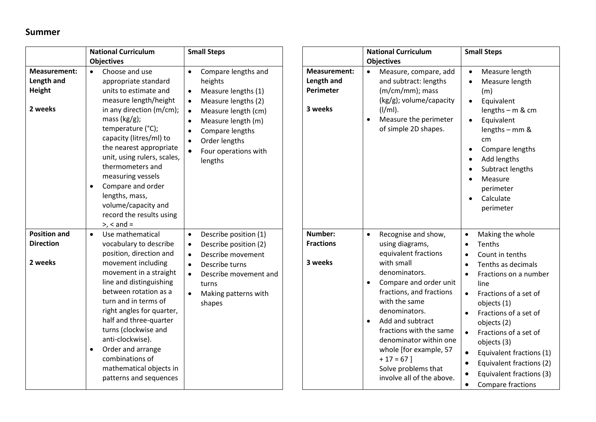## **Summer**

|                                                               | <b>National Curriculum</b>                                                                                                                                                                                                                                                                                                                                                                                                          | <b>Small Steps</b>                                                                                                                                                                                                                                                                          |                                                                  | <b>National Curriculum</b>                                                                                                                                               | <b>Small Steps</b>                                                                                                                                                                                                                                                                                                                             |
|---------------------------------------------------------------|-------------------------------------------------------------------------------------------------------------------------------------------------------------------------------------------------------------------------------------------------------------------------------------------------------------------------------------------------------------------------------------------------------------------------------------|---------------------------------------------------------------------------------------------------------------------------------------------------------------------------------------------------------------------------------------------------------------------------------------------|------------------------------------------------------------------|--------------------------------------------------------------------------------------------------------------------------------------------------------------------------|------------------------------------------------------------------------------------------------------------------------------------------------------------------------------------------------------------------------------------------------------------------------------------------------------------------------------------------------|
|                                                               | <b>Objectives</b>                                                                                                                                                                                                                                                                                                                                                                                                                   |                                                                                                                                                                                                                                                                                             |                                                                  | <b>Objectives</b>                                                                                                                                                        |                                                                                                                                                                                                                                                                                                                                                |
| <b>Measurement:</b><br>Length and<br><b>Height</b><br>2 weeks | Choose and use<br>$\bullet$<br>appropriate standard<br>units to estimate and<br>measure length/height<br>in any direction (m/cm);<br>mass $(kg/g)$ ;<br>temperature (°C);<br>capacity (litres/ml) to<br>the nearest appropriate<br>unit, using rulers, scales,<br>thermometers and<br>measuring vessels<br>Compare and order<br>$\bullet$<br>lengths, mass,<br>volume/capacity and<br>record the results using<br>$>$ , $<$ and $=$ | Compare lengths and<br>$\bullet$<br>heights<br>Measure lengths (1)<br>$\bullet$<br>Measure lengths (2)<br>$\bullet$<br>Measure length (cm)<br>$\bullet$<br>Measure length (m)<br>$\bullet$<br>Compare lengths<br>Order lengths<br>$\bullet$<br>Four operations with<br>$\bullet$<br>lengths | <b>Measurement:</b><br>Length and<br><b>Perimeter</b><br>3 weeks | Measure, compare, add<br>$\bullet$<br>and subtract: lengths<br>(m/cm/mm); mass<br>(kg/g); volume/capacity<br>$(I/ml)$ .<br>Measure the perimeter<br>of simple 2D shapes. | Measure length<br>$\bullet$<br>Measure length<br>$\bullet$<br>(m)<br>Equivalent<br>$\bullet$<br>lengths $-$ m & cm<br>Equivalent<br>$\bullet$<br>lengths - mm &<br>cm <sub>2</sub><br>Compare lengths<br>Add lengths<br>$\bullet$<br>Subtract lengths<br>$\bullet$<br>Measure<br>$\bullet$<br>perimeter<br>Calculate<br>$\bullet$<br>perimeter |
| <b>Position and</b>                                           | Use mathematical<br>$\bullet$                                                                                                                                                                                                                                                                                                                                                                                                       | Describe position (1)<br>$\bullet$                                                                                                                                                                                                                                                          | Number:                                                          | Recognise and show,<br>$\bullet$                                                                                                                                         | Making the whole                                                                                                                                                                                                                                                                                                                               |
| <b>Direction</b>                                              | vocabulary to describe                                                                                                                                                                                                                                                                                                                                                                                                              | Describe position (2)<br>$\bullet$                                                                                                                                                                                                                                                          | <b>Fractions</b>                                                 | using diagrams,                                                                                                                                                          | Tenths                                                                                                                                                                                                                                                                                                                                         |
|                                                               | position, direction and                                                                                                                                                                                                                                                                                                                                                                                                             | Describe movement<br>$\bullet$                                                                                                                                                                                                                                                              |                                                                  | equivalent fractions                                                                                                                                                     | Count in tenths                                                                                                                                                                                                                                                                                                                                |
| 2 weeks                                                       | movement including                                                                                                                                                                                                                                                                                                                                                                                                                  | Describe turns<br>$\bullet$                                                                                                                                                                                                                                                                 | 3 weeks                                                          | with small                                                                                                                                                               | Tenths as decimals                                                                                                                                                                                                                                                                                                                             |
|                                                               | movement in a straight                                                                                                                                                                                                                                                                                                                                                                                                              | Describe movement and<br>$\bullet$                                                                                                                                                                                                                                                          |                                                                  | denominators.                                                                                                                                                            | Fractions on a number<br>$\bullet$                                                                                                                                                                                                                                                                                                             |
|                                                               | line and distinguishing                                                                                                                                                                                                                                                                                                                                                                                                             | turns                                                                                                                                                                                                                                                                                       |                                                                  | Compare and order unit<br>$\bullet$                                                                                                                                      | line                                                                                                                                                                                                                                                                                                                                           |
|                                                               | between rotation as a                                                                                                                                                                                                                                                                                                                                                                                                               | Making patterns with                                                                                                                                                                                                                                                                        |                                                                  | fractions, and fractions                                                                                                                                                 | Fractions of a set of<br>$\bullet$                                                                                                                                                                                                                                                                                                             |
|                                                               | turn and in terms of                                                                                                                                                                                                                                                                                                                                                                                                                | shapes                                                                                                                                                                                                                                                                                      |                                                                  | with the same                                                                                                                                                            | objects (1)                                                                                                                                                                                                                                                                                                                                    |
|                                                               | right angles for quarter,                                                                                                                                                                                                                                                                                                                                                                                                           |                                                                                                                                                                                                                                                                                             |                                                                  | denominators.                                                                                                                                                            | Fractions of a set of<br>$\bullet$                                                                                                                                                                                                                                                                                                             |
|                                                               | half and three-quarter                                                                                                                                                                                                                                                                                                                                                                                                              |                                                                                                                                                                                                                                                                                             |                                                                  | Add and subtract<br>$\bullet$                                                                                                                                            | objects (2)                                                                                                                                                                                                                                                                                                                                    |
|                                                               | turns (clockwise and                                                                                                                                                                                                                                                                                                                                                                                                                |                                                                                                                                                                                                                                                                                             |                                                                  | fractions with the same                                                                                                                                                  | Fractions of a set of<br>$\bullet$                                                                                                                                                                                                                                                                                                             |
|                                                               | anti-clockwise).                                                                                                                                                                                                                                                                                                                                                                                                                    |                                                                                                                                                                                                                                                                                             |                                                                  | denominator within one                                                                                                                                                   | objects (3)                                                                                                                                                                                                                                                                                                                                    |
|                                                               | Order and arrange<br>$\bullet$                                                                                                                                                                                                                                                                                                                                                                                                      |                                                                                                                                                                                                                                                                                             |                                                                  | whole [for example, 57                                                                                                                                                   | Equivalent fractions (1)<br>$\bullet$                                                                                                                                                                                                                                                                                                          |
|                                                               | combinations of                                                                                                                                                                                                                                                                                                                                                                                                                     |                                                                                                                                                                                                                                                                                             |                                                                  | $+17=67$ ]                                                                                                                                                               | Equivalent fractions (2)                                                                                                                                                                                                                                                                                                                       |
|                                                               | mathematical objects in<br>patterns and sequences                                                                                                                                                                                                                                                                                                                                                                                   |                                                                                                                                                                                                                                                                                             |                                                                  | Solve problems that<br>involve all of the above.                                                                                                                         | Equivalent fractions (3)                                                                                                                                                                                                                                                                                                                       |
|                                                               |                                                                                                                                                                                                                                                                                                                                                                                                                                     |                                                                                                                                                                                                                                                                                             |                                                                  |                                                                                                                                                                          | Compare fractions                                                                                                                                                                                                                                                                                                                              |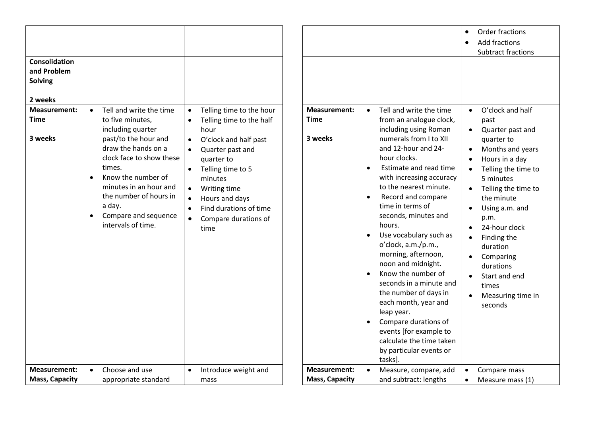| Consolidation<br>and Problem<br><b>Solving</b><br>2 weeks<br><b>Measurement:</b><br><b>Time</b><br>3 weeks | Tell and write the time<br>$\bullet$<br>to five minutes,<br>including quarter<br>past/to the hour and<br>draw the hands on a<br>clock face to show these<br>times.<br>Know the number of<br>$\bullet$<br>minutes in an hour and | Telling time to the hour<br>$\bullet$<br>Telling time to the half<br>$\bullet$<br>hour<br>O'clock and half past<br>$\bullet$<br>Quarter past and<br>$\bullet$<br>quarter to<br>Telling time to 5<br>$\bullet$<br>minutes<br>Writing time<br>$\bullet$ | <b>Measurement:</b><br><b>Time</b><br>3 weeks | Tell and write the time<br>$\bullet$<br>from an analogue clock,<br>including using Roman<br>numerals from I to XII<br>and 12-hour and 24-<br>hour clocks.<br>Estimate and read time<br>$\bullet$<br>with increasing accuracy<br>to the nearest minute.                                                                                                                                                                  | Order fractions<br>$\bullet$<br><b>Add fractions</b><br>$\bullet$<br><b>Subtract fractions</b><br>O'clock and half<br>$\bullet$<br>past<br>Quarter past and<br>$\bullet$<br>quarter to<br>Months and years<br>Hours in a day<br>Telling the time to<br>$\bullet$<br>5 minutes<br>Telling the time to<br>$\bullet$ |
|------------------------------------------------------------------------------------------------------------|---------------------------------------------------------------------------------------------------------------------------------------------------------------------------------------------------------------------------------|-------------------------------------------------------------------------------------------------------------------------------------------------------------------------------------------------------------------------------------------------------|-----------------------------------------------|-------------------------------------------------------------------------------------------------------------------------------------------------------------------------------------------------------------------------------------------------------------------------------------------------------------------------------------------------------------------------------------------------------------------------|-------------------------------------------------------------------------------------------------------------------------------------------------------------------------------------------------------------------------------------------------------------------------------------------------------------------|
| <b>Measurement:</b>                                                                                        | the number of hours in<br>a day.<br>Compare and sequence<br>$\bullet$<br>intervals of time.<br>Choose and use                                                                                                                   | Hours and days<br>$\bullet$<br>Find durations of time<br>$\bullet$<br>Compare durations of<br>$\bullet$<br>time                                                                                                                                       | <b>Measurement:</b>                           | Record and compare<br>$\bullet$<br>time in terms of<br>seconds, minutes and<br>hours.<br>Use vocabulary such as<br>o'clock, a.m./p.m.,<br>morning, afternoon,<br>noon and midnight.<br>Know the number of<br>seconds in a minute and<br>the number of days in<br>each month, year and<br>leap year.<br>Compare durations of<br>events [for example to<br>calculate the time taken<br>by particular events or<br>tasks]. | the minute<br>Using a.m. and<br>$\bullet$<br>p.m.<br>24-hour clock<br>$\bullet$<br>Finding the<br>$\bullet$<br>duration<br>Comparing<br>durations<br>Start and end<br>$\bullet$<br>times<br>Measuring time in<br>seconds                                                                                          |
| <b>Mass, Capacity</b>                                                                                      | appropriate standard                                                                                                                                                                                                            | Introduce weight and<br>$\bullet$<br>mass                                                                                                                                                                                                             | <b>Mass, Capacity</b>                         | Measure, compare, add<br>and subtract: lengths                                                                                                                                                                                                                                                                                                                                                                          | Compare mass<br>$\bullet$<br>Measure mass (1)<br>$\bullet$                                                                                                                                                                                                                                                        |